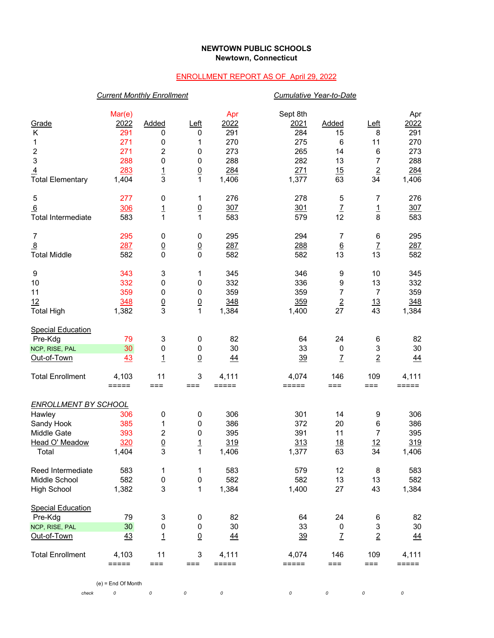## **NEWTOWN PUBLIC SCHOOLS Newtown, Connecticut**

## ENROLLMENT REPORT AS OF April 29, 2022

|                             | <b>Current Monthly Enrollment</b> |                     |                                 |                              | Cumulative Year-to-Date      |                 |                 |                  |
|-----------------------------|-----------------------------------|---------------------|---------------------------------|------------------------------|------------------------------|-----------------|-----------------|------------------|
| Grade                       | Mar(e)<br><u> 2022</u>            | Added               | Left                            | Apr<br>2022                  | Sept 8th<br>2021             | Added           | Left            | Apr<br>2022      |
| Κ                           | 291                               | 0                   | 0                               | 291                          | 284                          | 15              | 8               | 291              |
| 1                           | 271                               | 0                   | 1                               | 270                          | 275                          | 6               | 11              | 270              |
| $\boldsymbol{2}$            | 271                               | $\boldsymbol{2}$    |                                 | 273                          | 265                          | 14              | 6               | 273              |
| $\ensuremath{\mathsf{3}}$   | 288                               | 0                   | 0<br>$\boldsymbol{0}$           | 288                          | 282                          | 13              | 7               | 288              |
| $\overline{4}$              | 283                               |                     |                                 | 284                          | 271                          | 15              | $\underline{2}$ | 284              |
| <b>Total Elementary</b>     | 1,404                             | $\overline{1}$<br>3 | $\underline{0}$<br>$\mathbf{1}$ | 1,406                        | 1,377                        | 63              | 34              | 1,406            |
|                             |                                   |                     |                                 |                              |                              |                 |                 |                  |
| 5                           | 277                               | 0                   | 1                               | 276                          | 278                          | 5               | 7               | 276              |
| 6                           | 306                               | $\overline{1}$      | $\underline{0}$                 | 307                          | 301                          | $\overline{I}$  | $\overline{1}$  | 307              |
| <b>Total Intermediate</b>   | 583                               | 1                   | 1                               | 583                          | 579                          | 12              | 8               | 583              |
| $\overline{7}$              | 295                               | 0                   | 0                               | 295                          | 294                          | 7               | 6               | 295              |
| $\overline{8}$              | 287                               | $\underline{0}$     | $\underline{0}$                 | 287                          | 288                          | $\underline{6}$ | $\overline{1}$  | 287              |
| <b>Total Middle</b>         | 582                               | 0                   | $\mathbf 0$                     | 582                          | 582                          | 13              | 13              | 582              |
| 9                           | 343                               | 3                   | 1                               | 345                          | 346                          | 9               | 10              | 345              |
| 10                          | 332                               | 0                   | 0                               | 332                          | 336                          | 9               | 13              | 332              |
| 11                          | 359                               | 0                   | $\boldsymbol{0}$                | 359                          | 359                          | 7               | $\overline{7}$  | 359              |
| 12                          | 348                               | $\underline{0}$     | $\overline{0}$                  | 348                          | 359                          | $\overline{2}$  | 13              | 348              |
| <b>Total High</b>           | 1,382                             | 3                   | $\mathbf{1}$                    | 1,384                        | 1,400                        | 27              | 43              | 1,384            |
| <b>Special Education</b>    |                                   |                     |                                 |                              |                              |                 |                 |                  |
| Pre-Kdg                     | 79                                | 3                   | $\boldsymbol{0}$                | 82                           | 64                           | 24              | 6               | 82               |
| NCP, RISE, PAL              | 30                                | 0                   | 0                               | 30                           | 33                           | $\pmb{0}$       | 3               | 30               |
| Out-of-Town                 | 43                                | $\mathbf{1}$        | $\underline{0}$                 | <u>44</u>                    | 39                           | $\overline{I}$  | $\overline{2}$  | 44               |
|                             |                                   |                     |                                 |                              |                              |                 |                 |                  |
| <b>Total Enrollment</b>     | 4,103                             | 11                  | 3                               | 4,111                        | 4,074                        | 146             | 109             | 4,111            |
|                             | $=====$                           | $==$                | $===$                           | $=$ $=$ $=$ $=$ $=$          | $=====$                      | $===$           | $===$           | $=====$          |
| <b>ENROLLMENT BY SCHOOL</b> |                                   |                     |                                 |                              |                              |                 |                 |                  |
| Hawley                      | 306                               | 0                   | 0                               | 306                          | 301                          | 14              | 9               | 306              |
| Sandy Hook                  | 385                               | 1                   | 0                               | 386                          | 372                          | 20              | 6               | 386              |
| Middle Gate                 | 393                               | 2                   | 0                               | 395                          | 391                          | 11              | 7               | 395              |
| Head O' Meadow              | 320                               | $\underline{0}$     | <u>1</u>                        | 319                          | 313                          | <u>18</u>       | 12              | 319              |
| Total                       | 1,404                             | 3                   | 1                               | 1,406                        | 1,377                        | 63              | 34              | 1,406            |
| Reed Intermediate           | 583                               | 1                   | 1                               | 583                          | 579                          | 12              | 8               | 583              |
| Middle School               | 582                               | $\pmb{0}$           | $\boldsymbol{0}$                | 582                          | 582                          | 13              | 13              | 582              |
| <b>High School</b>          | 1,382                             | $\mathbf 3$         | 1                               | 1,384                        | 1,400                        | 27              | 43              | 1,384            |
| <b>Special Education</b>    |                                   |                     |                                 |                              |                              |                 |                 |                  |
| Pre-Kdg                     | 79                                | 3                   | 0                               | 82                           | 64                           | 24              | 6               | 82               |
| NCP, RISE, PAL              | 30                                | 0                   | $\boldsymbol{0}$                | 30                           | 33                           | $\pmb{0}$       | 3               | 30               |
| Out-of-Town                 | 43                                | $\overline{1}$      | $\underline{0}$                 | 44                           | $\frac{39}{2}$               | $\overline{1}$  | $\overline{2}$  | $\overline{44}$  |
|                             |                                   |                     |                                 |                              |                              |                 |                 |                  |
| <b>Total Enrollment</b>     | 4,103<br>=====                    | 11<br>$==$          | 3<br>$==$                       | 4,111<br>$=$ $=$ $=$ $=$ $=$ | 4,074<br>$=$ $=$ $=$ $=$ $=$ | 146<br>===      | 109<br>$==$     | 4,111<br>$=====$ |
|                             |                                   |                     |                                 |                              |                              |                 |                 |                  |
|                             | $(e)$ = End Of Month              |                     |                                 |                              |                              |                 |                 |                  |

*check 0 0 0 0 0 0 0 0*